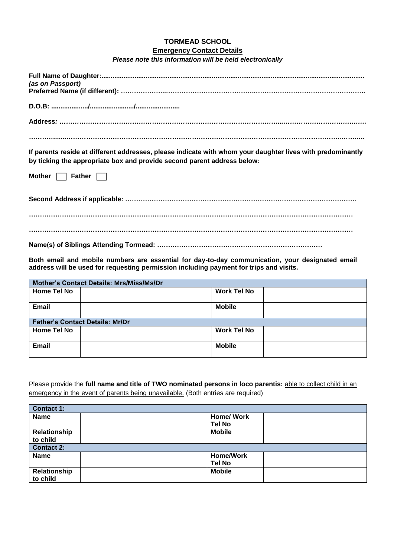## **TORMEAD SCHOOL**

## **Emergency Contact Details**

|  |  | Please note this information will be held electronically |  |  |
|--|--|----------------------------------------------------------|--|--|
|--|--|----------------------------------------------------------|--|--|

| (as on Passport)                                                                                                                                                                      |  |  |
|---------------------------------------------------------------------------------------------------------------------------------------------------------------------------------------|--|--|
|                                                                                                                                                                                       |  |  |
|                                                                                                                                                                                       |  |  |
|                                                                                                                                                                                       |  |  |
| If parents reside at different addresses, please indicate with whom your daughter lives with predominantly<br>by ticking the appropriate box and provide second parent address below: |  |  |

**Mother** Father

**Second Address if applicable: …………………………………………………………………………………………… ………………………………………………………………………………………………………………………………… …………………………………………………………………………………………………………………………………**

**Name(s) of Siblings Attending Tormead: …………………………………………………………………**

**Both email and mobile numbers are essential for day-to-day communication, your designated email address will be used for requesting permission including payment for trips and visits.**

| <b>Mother's Contact Details: Mrs/Miss/Ms/Dr</b> |                                        |                    |  |
|-------------------------------------------------|----------------------------------------|--------------------|--|
| <b>Home Tel No</b>                              |                                        | <b>Work Tel No</b> |  |
| <b>Email</b>                                    |                                        | <b>Mobile</b>      |  |
|                                                 | <b>Father's Contact Details: Mr/Dr</b> |                    |  |
| <b>Home Tel No</b>                              |                                        | <b>Work Tel No</b> |  |
| Email                                           |                                        | <b>Mobile</b>      |  |

Please provide the **full name and title of TWO nominated persons in loco parentis:** able to collect child in an emergency in the event of parents being unavailable. (Both entries are required)

| <b>Contact 1:</b> |                   |
|-------------------|-------------------|
| <b>Name</b>       | <b>Home/ Work</b> |
|                   | <b>Tel No</b>     |
| Relationship      | <b>Mobile</b>     |
| to child          |                   |
| <b>Contact 2:</b> |                   |
| <b>Name</b>       | <b>Home/Work</b>  |
|                   | <b>Tel No</b>     |
| Relationship      | <b>Mobile</b>     |
| to child          |                   |